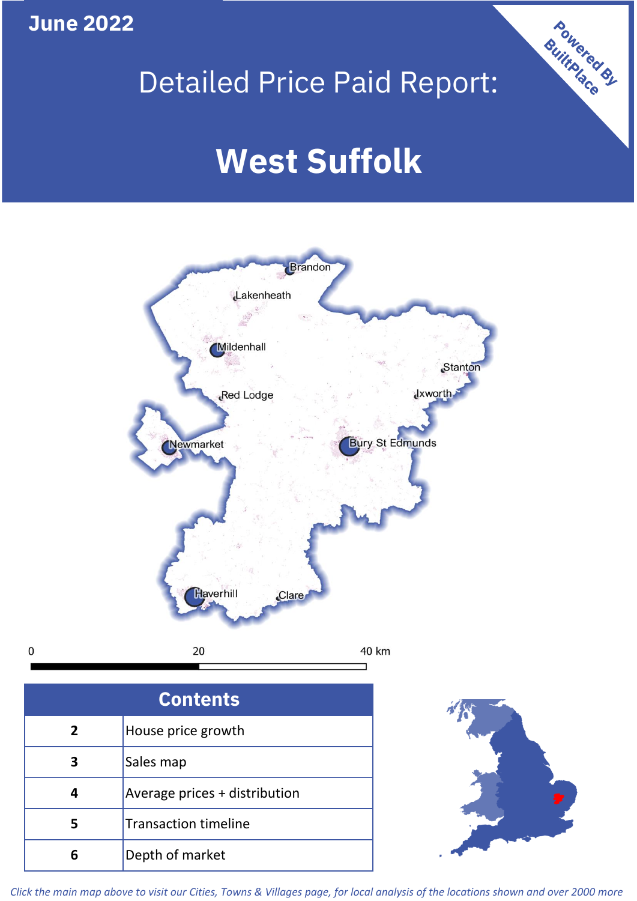## **June 2022**

 $\mathbf 0$ 

## Detailed Price Paid Report:

# **West Suffolk**



| <b>Contents</b> |                               |  |  |
|-----------------|-------------------------------|--|--|
| $\overline{2}$  | House price growth            |  |  |
| 3               | Sales map                     |  |  |
|                 | Average prices + distribution |  |  |
| 5               | <b>Transaction timeline</b>   |  |  |
|                 | Depth of market               |  |  |



Powered By

*Click the main map above to visit our Cities, Towns & Villages page, for local analysis of the locations shown and over 2000 more*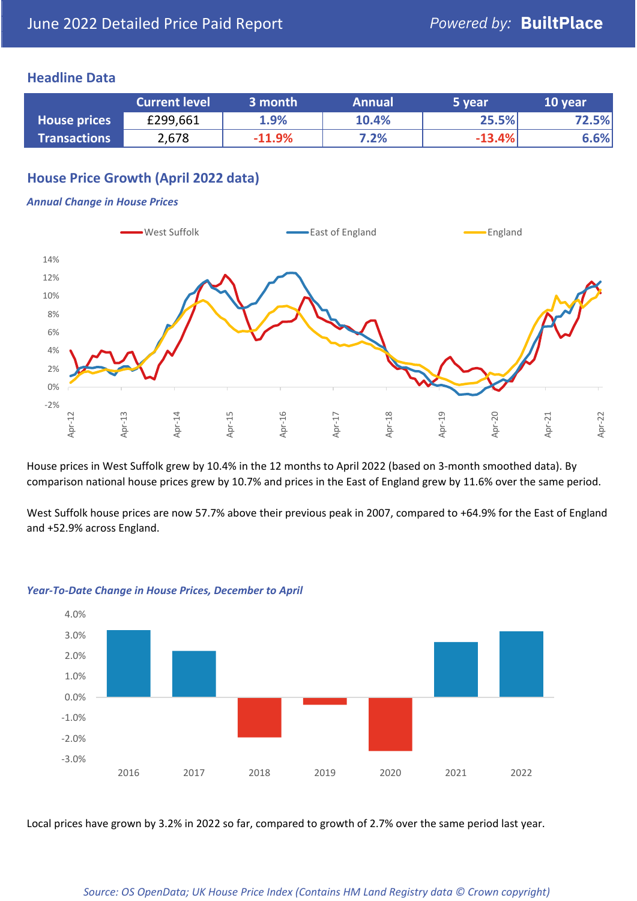### **Headline Data**

|                     | <b>Current level</b> | 3 month  | <b>Annual</b> | 5 year   | 10 year |
|---------------------|----------------------|----------|---------------|----------|---------|
| <b>House prices</b> | £299,661             | 1.9%     | 10.4%         | 25.5%    | 72.5%   |
| <b>Transactions</b> | 2,678                | $-11.9%$ | 7.2%          | $-13.4%$ | 6.6%    |

## **House Price Growth (April 2022 data)**

#### *Annual Change in House Prices*



House prices in West Suffolk grew by 10.4% in the 12 months to April 2022 (based on 3-month smoothed data). By comparison national house prices grew by 10.7% and prices in the East of England grew by 11.6% over the same period.

West Suffolk house prices are now 57.7% above their previous peak in 2007, compared to +64.9% for the East of England and +52.9% across England.



#### *Year-To-Date Change in House Prices, December to April*

Local prices have grown by 3.2% in 2022 so far, compared to growth of 2.7% over the same period last year.

#### *Source: OS OpenData; UK House Price Index (Contains HM Land Registry data © Crown copyright)*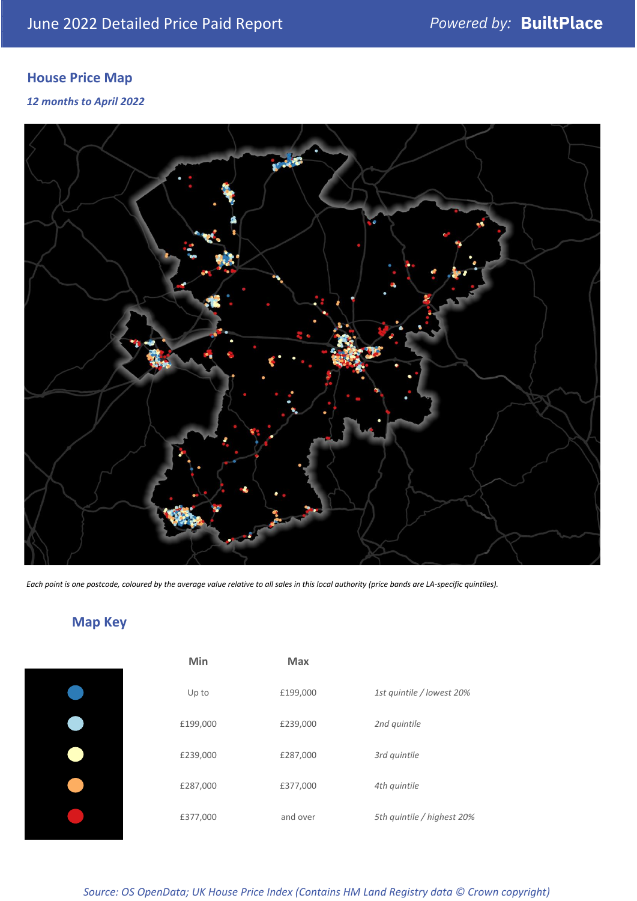## **House Price Map**

*12 months to April 2022*



*Each point is one postcode, coloured by the average value relative to all sales in this local authority (price bands are LA-specific quintiles).*

## **Map Key**

| Min      | <b>Max</b> |                            |
|----------|------------|----------------------------|
| Up to    | £199,000   | 1st quintile / lowest 20%  |
| £199,000 | £239,000   | 2nd quintile               |
| £239,000 | £287,000   | 3rd quintile               |
| £287,000 | £377,000   | 4th quintile               |
| £377,000 | and over   | 5th quintile / highest 20% |
|          |            |                            |

*Source: OS OpenData; UK House Price Index (Contains HM Land Registry data © Crown copyright)*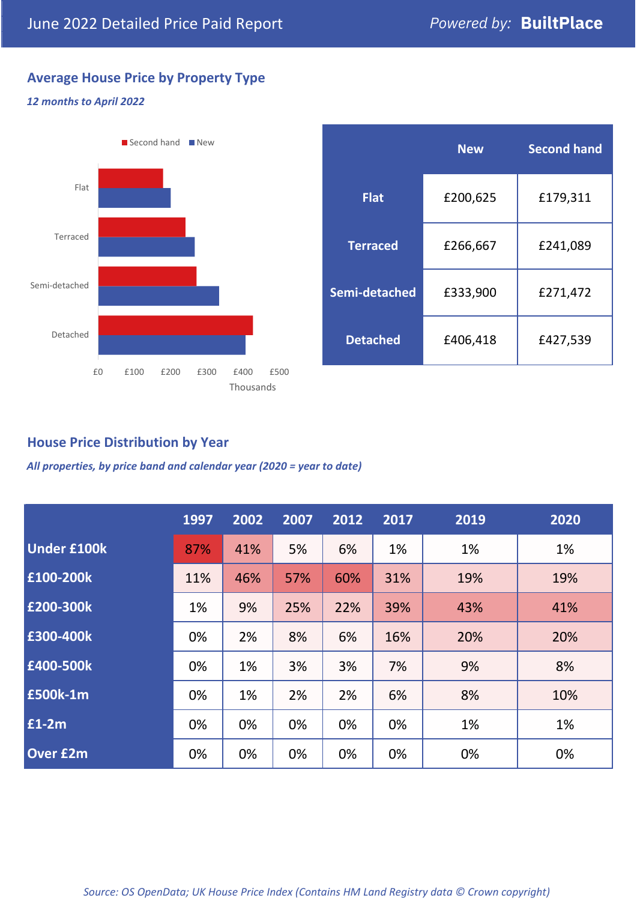## **Average House Price by Property Type**

#### *12 months to April 2022*



|                 | <b>New</b> | <b>Second hand</b> |  |
|-----------------|------------|--------------------|--|
| <b>Flat</b>     | £200,625   | £179,311           |  |
| <b>Terraced</b> | £266,667   | £241,089           |  |
| Semi-detached   | £333,900   | £271,472           |  |
| <b>Detached</b> | £406,418   | £427,539           |  |

## **House Price Distribution by Year**

*All properties, by price band and calendar year (2020 = year to date)*

|                    | 1997 | 2002 | 2007 | 2012 | 2017 | 2019 | 2020 |
|--------------------|------|------|------|------|------|------|------|
| <b>Under £100k</b> | 87%  | 41%  | 5%   | 6%   | 1%   | 1%   | 1%   |
| £100-200k          | 11%  | 46%  | 57%  | 60%  | 31%  | 19%  | 19%  |
| E200-300k          | 1%   | 9%   | 25%  | 22%  | 39%  | 43%  | 41%  |
| £300-400k          | 0%   | 2%   | 8%   | 6%   | 16%  | 20%  | 20%  |
| £400-500k          | 0%   | 1%   | 3%   | 3%   | 7%   | 9%   | 8%   |
| <b>£500k-1m</b>    | 0%   | 1%   | 2%   | 2%   | 6%   | 8%   | 10%  |
| £1-2m              | 0%   | 0%   | 0%   | 0%   | 0%   | 1%   | 1%   |
| <b>Over £2m</b>    | 0%   | 0%   | 0%   | 0%   | 0%   | 0%   | 0%   |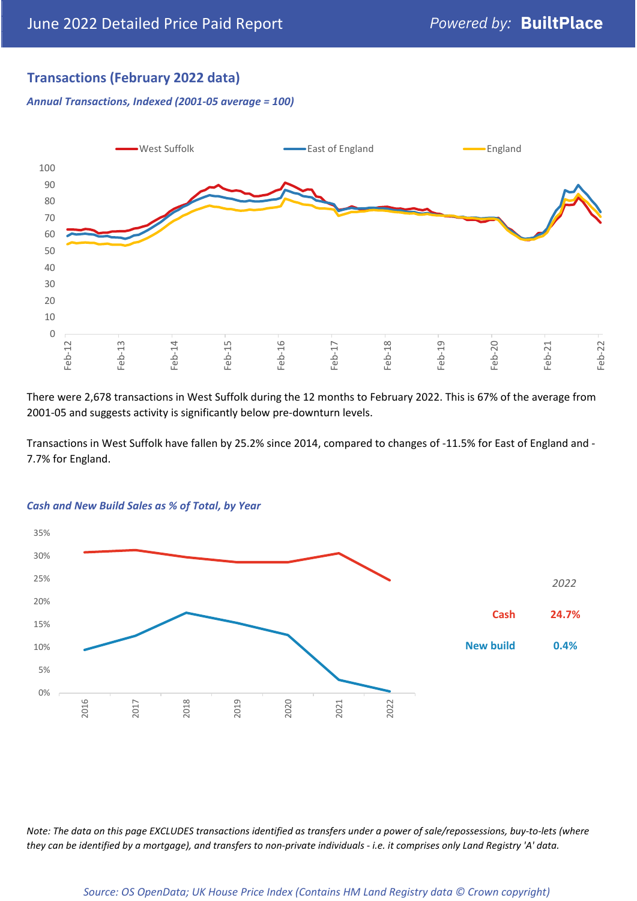## **Transactions (February 2022 data)**

*Annual Transactions, Indexed (2001-05 average = 100)*



There were 2,678 transactions in West Suffolk during the 12 months to February 2022. This is 67% of the average from 2001-05 and suggests activity is significantly below pre-downturn levels.

Transactions in West Suffolk have fallen by 25.2% since 2014, compared to changes of -11.5% for East of England and - 7.7% for England.



#### *Cash and New Build Sales as % of Total, by Year*

*Note: The data on this page EXCLUDES transactions identified as transfers under a power of sale/repossessions, buy-to-lets (where they can be identified by a mortgage), and transfers to non-private individuals - i.e. it comprises only Land Registry 'A' data.*